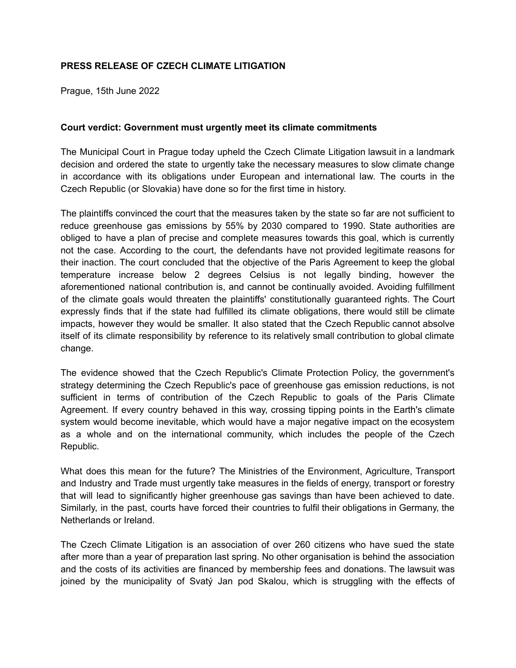## **PRESS RELEASE OF CZECH CLIMATE LITIGATION**

Prague, 15th June 2022

#### **Court verdict: Government must urgently meet its climate commitments**

The Municipal Court in Prague today upheld the Czech Climate Litigation lawsuit in a landmark decision and ordered the state to urgently take the necessary measures to slow climate change in accordance with its obligations under European and international law. The courts in the Czech Republic (or Slovakia) have done so for the first time in history.

The plaintiffs convinced the court that the measures taken by the state so far are not sufficient to reduce greenhouse gas emissions by 55% by 2030 compared to 1990. State authorities are obliged to have a plan of precise and complete measures towards this goal, which is currently not the case. According to the court, the defendants have not provided legitimate reasons for their inaction. The court concluded that the objective of the Paris Agreement to keep the global temperature increase below 2 degrees Celsius is not legally binding, however the aforementioned national contribution is, and cannot be continually avoided. Avoiding fulfillment of the climate goals would threaten the plaintiffs' constitutionally guaranteed rights. The Court expressly finds that if the state had fulfilled its climate obligations, there would still be climate impacts, however they would be smaller. It also stated that the Czech Republic cannot absolve itself of its climate responsibility by reference to its relatively small contribution to global climate change.

The evidence showed that the Czech Republic's Climate Protection Policy, the government's strategy determining the Czech Republic's pace of greenhouse gas emission reductions, is not sufficient in terms of contribution of the Czech Republic to goals of the Paris Climate Agreement. If every country behaved in this way, crossing tipping points in the Earth's climate system would become inevitable, which would have a major negative impact on the ecosystem as a whole and on the international community, which includes the people of the Czech Republic.

What does this mean for the future? The Ministries of the Environment, Agriculture, Transport and Industry and Trade must urgently take measures in the fields of energy, transport or forestry that will lead to significantly higher greenhouse gas savings than have been achieved to date. Similarly, in the past, courts have forced their countries to fulfil their obligations in Germany, the Netherlands or Ireland.

The Czech Climate Litigation is an association of over 260 citizens who have sued the state after more than a year of preparation last spring. No other organisation is behind the association and the costs of its activities are financed by membership fees and donations. The lawsuit was joined by the municipality of Svatý Jan pod Skalou, which is struggling with the effects of